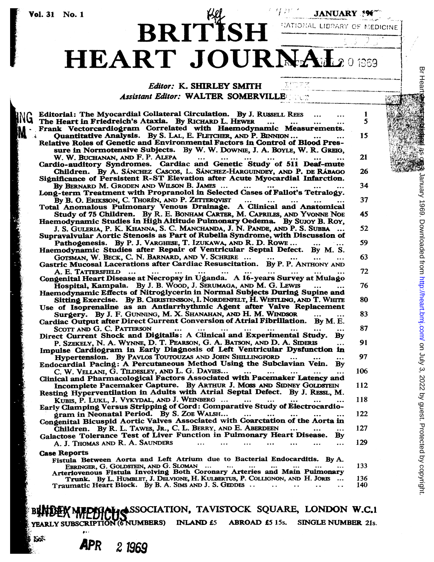**INC** M

# BRITISH HEART JOURNAL201969

HATIONAL LIBRARY OF MEDICINE

### Editor: K. SHIRLEY SMITH

Assistant Editor: WALTER SOMERVILLE

| Editorial: The Myocardial Collateral Circulation. By J. RUSSELL REES                                  | ı   |
|-------------------------------------------------------------------------------------------------------|-----|
| <b>4 The Heart in Friedreich's Ataxia. By RICHARD L. HEWER</b><br>$\ddotsc$                           | 5   |
| Frank Vectorcardiogram Correlated with Haemodynamic Measurements.                                     |     |
| Quantitative Analysis. By S. LAL, E. FLETCHER, AND P. BINNION                                         | 15  |
| Relative Roles of Genetic and Environmental Factors in Control of Blood Pres-                         |     |
|                                                                                                       |     |
| sure in Normotensive Subjects. By W. W. Downle, J. A. Boyle, W. R. Grego,                             |     |
| W. W. BUCHANAN, AND F. P. ALEPA<br>$\cdots$<br>$\cdots$                                               | 21  |
| Cardio-auditory Syndromes. Cardiac and Genetic Study of 511 Deaf-mute                                 |     |
| Children. By A. Sánchez Cascos, L. Sánchez-Harguindey, and P. de Rábago                               | 26  |
| Significance of Persistent R-ST Elevation after Acute Myocardial Infarction.                          |     |
| By BERNARD M. GRODEN AND WILSON B. JAMES<br>$\dddotsc$                                                | 34  |
| Long-term Treatment with Propranolol in Selected Cases of Fallot's Tetralogy.                         |     |
| By B. O. ERIKSSON, C. THORÉN, AND P. ZETTERQVIST<br>$\cdots$<br>$\cdots$                              | 37  |
| Total Anomalous Pulmonary Venous Drainage. A Clinical and Anatomical                                  |     |
| Study of 75 Children. By R. E. BONHAM CARTER, M. CAPRILES, AND YVONNE NOE                             | 45  |
| Haemodynamic Studies in High Altitude Pulmonary Oedema. By SUJOY B. ROY,                              |     |
| J. S. GULERIA, P. K. KHANNA, S. C. MANCHANDA, J. N. PANDE, AND P. S. SUBBA                            | 52  |
| Supravalvular Aortic Stenosis as Part of Rubella Syndrome, with Discussion of                         |     |
| Pathogenesis. By P. J. VARGHESE, T. IZUKAWA, AND R. D. ROWE                                           | 59  |
| Haemodynamic Studies after Repair of Ventricular Septal Defect. By M. S.                              |     |
| GOTSMAN, W. BECK, C. N. BARNARD, AND V. SCHRIRE                                                       | 63  |
| Gastric Mucosal Lacerations after Cardiac Resuscitation. By P. P. ANTHONY AND                         |     |
| A. E. TATTERSFIELD<br>$\cdots$<br>$\cdots$<br>$\ddotsc$<br>$\cdots$                                   | 72  |
| Congenital Heart Disease at Necropsy in Uganda. A 16-years Survey at Mulago                           |     |
| Hospital, Kampala. By J. B. WOOD, J. SERUMAGA, AND M. G. LEWIS                                        | 76  |
| Haemodynamic Effects of Nitroglycerin in Normal Subjects During Supine and                            |     |
| Sitting Exercise. By B. CHRISTENSSON, I. NORDENFELT, H. WESTLING, AND T. WHITE                        | 80  |
| Use of Isoprenaline as an Antiarrhythmic Agent after Valve Replacement                                |     |
| Surgery. By J. F. GUNNING, M. X. SHANAHAN, AND H. M. WINDSOR                                          | 83  |
| Cardiac Output after Direct Current Conversion of Atrial Fibrillation. By M.E.                        |     |
| SCOTT AND G. C. PATTERSON<br>$\sim 100$<br>$\cdots$<br>$\cdots$                                       | 87  |
| $\cdots$<br>$\ddotsc$<br>Direct Current Shock and Digitalis: A Clinical and Experimental Study.<br>By |     |
| P. SZEKELY, N. A. WYNNE, D. T. PEARSON, G. A. BATSON, AND D. A. SIDERIS                               | 91  |
| $\ddotsc$<br>Impulse Cardiogram in Early Diagnosis of Left Ventricular Dysfunction in                 |     |
|                                                                                                       |     |
| Hypertension. By PAVLOS TOUTOUZAS AND JOHN SHILLINGFORD                                               | 97  |
| Endocardial Pacing: A Percutaneous Method Using the Subclavian Vein. By                               |     |
| C. W. VELLANI, G. TILDESLEY, AND L. G. DAVIES<br>$\cdots$<br><b>See College</b>                       | 106 |
| Clinical and Pharmacological Factors Associated with Pacemaker Latency and                            |     |
| Incomplete Pacemaker Capture. By ARTHUR J. MOSS AND SIDNEY GOLDSTEIN                                  | 112 |
| Resting Hyperventilation in Adults with Atrial Septal Defect. By J. RESSL, M.                         |     |
| KUBIS, P. LUKL, J. VYKYDAL, AND J. WEINBERG<br>$\cdots$<br>$\cdots$                                   | 118 |
| Early Clamping Versus Stripping of Cord: Comparative Study of Electrocardio-                          |     |
| gram in Neonatal Period. By S. ZOE WALSH                                                              | 122 |
| Congenital Bicuspid Aortic Valves Associated with Coarctation of the Aorta in                         |     |
| Children. By R. L. TAWES, JR., C. L. BERRY, AND E. ABERDEEN<br>$\ddotsc$<br>$\cdots$                  | 127 |
| Galactose Tolerance Test of Liver Function in Pulmonary Heart Disease.<br>By                          |     |
| A. J. Thomas and R. A. Saunders<br>                                                                   | 129 |
|                                                                                                       |     |
| <b>Case Reports</b><br>Fistula Between Aorta and Left Atrium due to Bacterial Endocarditis. By A.     |     |
| EBRINGER, G. GOLDSTEIN, AND G. SLOMAN<br>$\sim$ $\sim$ $\sim$<br>$\sim 100$                           | 133 |
| Arteriovenous Fistula Involving Both Coronary Arteries and Main Pulmonary                             |     |
| Trunk. By L. HUMBLET, J. DELVIGNE, H. KULBERTUS, P. COLLIGNON, AND H. JORIS                           | 136 |
|                                                                                                       | 140 |
| Traumatic Heart Block. By B. A. SIMS AND J. S. GEDDES<br>$\ddotsc$                                    |     |

IATION, TAVISTOCK SQUARE, LONDON W.C.1 INLAND £5 ABROAD £5 15s. SINGLE NUMBER 21s. YEARLY SUBSCRIPTION (61) **JMBERS**)

APR 2 1969

Ko<sup>t</sup>

**Br Hear** 

 $\bar{\mathcal{L}}$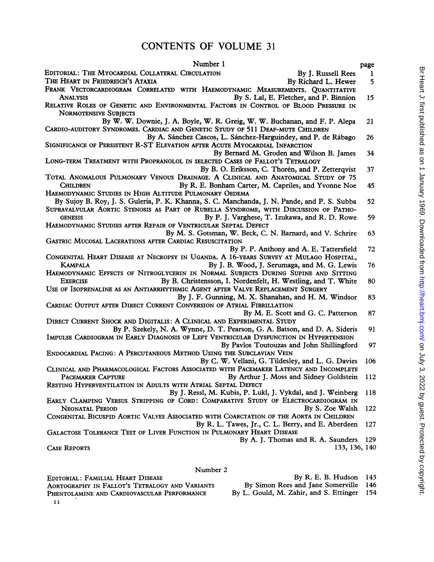# CONTENTS OF VOLUME <sup>31</sup>

| Number 1                                                                                                                                                                            | page |
|-------------------------------------------------------------------------------------------------------------------------------------------------------------------------------------|------|
| EDITORIAL: THE MYOCARDIAL COLLATERAL CIRCULATION<br>By J. Russell Rees                                                                                                              | 1    |
| THE HEART IN FRIEDREICH'S ATAXIA<br>By Richard L. Hewer                                                                                                                             | 5    |
| FRANK VECTORCARDIOGRAM CORRELATED WITH HAEMODYNAMIC MEASUREMENTS. QUANTITATIVE                                                                                                      |      |
| By S. Lal, E. Fletcher, and P. Binnion<br>Analysis                                                                                                                                  | 15   |
| RELATIVE ROLES OF GENETIC AND ENVIRONMENTAL FACTORS IN CONTROL OF BLOOD PRESSURE IN<br><b>NORMOTENSIVE SUBJECTS</b>                                                                 |      |
| By W. W. Downie, J. A. Boyle, W. R. Greig, W. W. Buchanan, and F. P. Alepa                                                                                                          | 21   |
| CARDIO-AUDITORY SYNDROMES. CARDIAC AND GENETIC STUDY OF 511 DEAF-MUTE CHILDREN                                                                                                      |      |
| By A. Sánchez Cascos, L. Sánchez-Harguindey, and P. de Rábago<br>SIGNIFICANCE OF PERSISTENT R-ST ELEVATION AFTER ACUTE MYOCARDIAL INFARCTION                                        | 26   |
| By Bernard M. Groden and Wilson B. James<br>LONG-TERM TREATMENT WITH PROPRANOLOL IN SELECTED CASES OF FALLOT'S TETRALOGY                                                            | 34   |
| By B. O. Eriksson, C. Thorén, and P. Zetterqvist<br>TOTAL ANOMALOUS PULMONARY VENOUS DRAINAGE. A CLINICAL AND ANATOMICAL STUDY OF 75                                                | 37   |
| By R. E. Bonham Carter, M. Capriles, and Yvonne Noe<br>CHILDREN                                                                                                                     | 45   |
| HAEMODYNAMIC STUDIES IN HIGH ALTITUDE PULMONARY OEDEMA                                                                                                                              |      |
| By Sujoy B. Roy, J. S. Guleria, P. K. Khanna, S. C. Manchanda, J. N. Pande, and P. S. Subba<br>SUPRAVALVULAR AORTIC STENOSIS AS PART OF RUBELLA SYNDROME, WITH DISCUSSION OF PATHO- | 52   |
| By P. J. Varghese, T. Izukawa, and R. D. Rowe<br><b>GENESIS</b>                                                                                                                     | 59   |
| HAEMODYNAMIC STUDIES AFTER REPAIR OF VENTRICULAR SEPTAL DEFECT                                                                                                                      |      |
| By M. S. Gotsman, W. Beck, C. N. Barnard, and V. Schrire                                                                                                                            | 63   |
| GASTRIC MUCOSAL LACERATIONS AFTER CARDIAC RESUSCITATION                                                                                                                             |      |
| By P. P. Anthony and A. E. Tattersfield                                                                                                                                             | 72   |
| CONGENITAL HEART DISEASE AT NECROPSY IN UGANDA. A 16-YEARS SURVEY AT MULAGO HOSPITAL,                                                                                               |      |
| <b>KAMPALA</b><br>By J. B. Wood, J. Serumaga, and M. G. Lewis                                                                                                                       | 76   |
| HAEMODYNAMIC EFFECTS OF NITROGLYCERIN IN NORMAL SUBJECTS DURING SUPINE AND SITTING                                                                                                  |      |
| By B. Christensson, I. Nordenfelt, H. Westling, and T. White<br><b>EXERCISE</b>                                                                                                     | 80   |
| USE OF ISOPRENALINE AS AN ANTIARRHYTHMIC AGENT AFTER VALVE REPLACEMENT SURGERY                                                                                                      |      |
| By J. F. Gunning, M. X. Shanahan, and H. M. Windsor                                                                                                                                 | 83   |
| CARDIAC OUTPUT AFTER DIRECT CURRENT CONVERSION OF ATRIAL FIBRILLATION                                                                                                               |      |
| By M. E. Scott and G. C. Patterson                                                                                                                                                  | 87   |
| DIRECT CURRENT SHOCK AND DIGITALIS: A CLINICAL AND EXPERIMENTAL STUDY                                                                                                               |      |
| By P. Szekely, N. A. Wynne, D. T. Pearson, G. A. Batson, and D. A. Sideris<br>IMPULSE CARDIOGRAM IN EARLY DIAGNOSIS OF LEFT VENTRICULAR DYSFUNCTION IN HYPERTENSION                 | 91   |
|                                                                                                                                                                                     | 97   |
| By Pavlos Toutouzas and John Shillingford<br>ENDOCARDIAL PACING: A PERCUTANEOUS METHOD USING THE SUBCLAVIAN VEIN                                                                    |      |
| By C. W. Vellani, G. Tildesley, and L. G. Davies                                                                                                                                    | 106  |
| CLINICAL AND PHARMACOLOGICAL FACTORS ASSOCIATED WITH PACEMAKER LATENCY AND INCOMPLETE                                                                                               |      |
| By Arthur J. Moss and Sidney Goldstein<br><b>PACEMAKER CAPTURE</b>                                                                                                                  | 112  |
| RESTING HYPERVENTILATION IN ADULTS WITH ATRIAL SEPTAL DEFECT                                                                                                                        |      |
| By J. Ressl, M. Kubis, P. Lukl, J. Vykdal, and J. Weinberg                                                                                                                          | 118  |
| EARLY CLAMPING VERSUS STRIPPING OF CORD: COMPARATIVE STUDY OF ELECTROCARDIOGRAM IN                                                                                                  |      |
| <b>NEONATAL PERIOD</b><br>By S. Zoe Walsh                                                                                                                                           | 122  |
| CONGENITAL BICUSPID AORTIC VALVES ASSOCIATED WITH COARCTATION OF THE AORTA IN CHILDREN                                                                                              |      |
| By R. L. Tawes, Jr., C. L. Berry, and E. Aberdeen                                                                                                                                   | 127  |
| GALACTOSE TOLERANCE TEST OF LIVER FUNCTION IN PULMONARY HEART DISEASE                                                                                                               |      |
| By A. J. Thomas and R. A. Saunders                                                                                                                                                  | 129  |
| <b>CASE REPORTS</b><br>133, 136, 140                                                                                                                                                |      |
|                                                                                                                                                                                     |      |
|                                                                                                                                                                                     |      |
| Number 2                                                                                                                                                                            |      |

EDITORIAL: FAMILIAL HEART DISEASE BY R. E. B. Hudson 143<br>AORTOGRAPHY IN FALLOT'S TETRALOGY AND VARIANTS By Simon Rees and Jane Somerville 146 AORTOGRAPHY IN FALLOT'S TETRALOGY AND VARIANTS By Simon Rees and Jane Somerville 146<br>PHENTOLAMINE AND CARDIOVASCULAR PERFORMANCE By L. Gould, M. Zahir, and S. Ettinger 154 PHENTOLAMINE AND CARDIOVASCULAR PERFORMANCE

I I

Br Heart J: first published as on 1 January 1969. Downloaded from http://heart.bmj.com/ on July 3, 2022 by guest. Protected by copyright. Br Heart J. first published as on 1 January 1969. Downloaded from <http://heart.bmj.com/> S. 2022 by guest. Protected by copyright.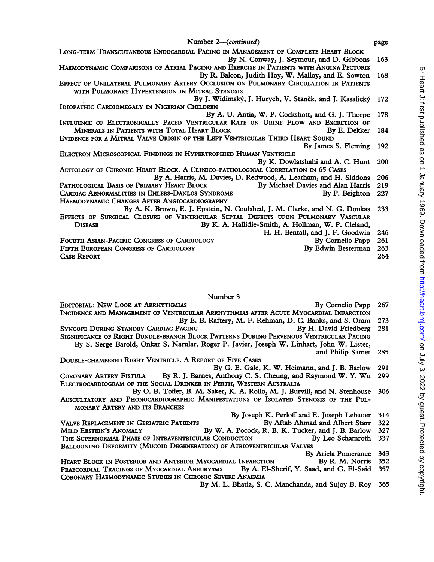|  | Number 2-continued |  |
|--|--------------------|--|

| Number 2—(continued)                                                                    | page  |
|-----------------------------------------------------------------------------------------|-------|
| LONG-TERM TRANSCUTANEOUS ENDOCARDIAL PACING IN MANAGEMENT OF COMPLETE HEART BLOCK       |       |
| By N. Conway, J. Seymour, and D. Gibbons                                                | 163   |
| HAEMODYNAMIC COMPARISONS OF ATRIAL PACING AND EXERCISE IN PATIENTS WITH ANGINA PECTORIS |       |
| By R. Balcon, Judith Hoy, W. Malloy, and E. Sowton                                      | 168   |
| EFFECT OF UNILATERAL PULMONARY ARTERY OCCLUSION ON PULMONARY CIRCULATION IN PATIENTS    |       |
| WITH PULMONARY HYPERTENSION IN MITRAL STENOSIS                                          |       |
| By J. Widimský, J. Hurych, V. Staněk, and J. Kasalický                                  | -172  |
| IDIOPATHIC CARDIOMEGALY IN NIGERIAN CHILDREN                                            |       |
| By A. U. Antia, W. P. Cockshott, and G. J. Thorpe                                       | 178   |
| INFLUENCE OF ELECTRONICALLY PACED VENTRICULAR RATE ON URINE FLOW AND EXCRETION OF       |       |
| MINERALS IN PATIENTS WITH TOTAL HEART BLOCK<br>By E. Dekker                             | -184  |
| EVIDENCE FOR A MITRAL VALVE ORIGIN OF THE LEFT VENTRICULAR THIRD HEART SOUND            |       |
| By James S. Fleming                                                                     | - 192 |
| ELECTRON MICROSCOPICAL FINDINGS IN HYPERTROPHIED HUMAN VENTRICLE                        |       |
| By K. Dowlatshahi and A. C. Hunt                                                        | 200   |
| AETIOLOGY OF CHRONIC HEART BLOCK. A CLINICO-PATHOLOGICAL CORRELATION IN 65 CASES        |       |
| By A. Harris, M. Davies, D. Redwood, A. Leatham, and H. Siddons                         | 206   |
| PATHOLOGICAL BASIS OF PRIMARY HEART BLOCK<br>By Michael Davies and Alan Harris          | 219   |
| CARDIAC ABNORMALITIES IN EHLERS-DANLOS SYNDROME<br>By P. Beighton                       | 227   |
| HAEMODYNAMIC CHANGES AFTER ANGIOCARDIOGRAPHY                                            |       |
| By A. K. Brown, E. J. Epstein, N. Coulshed, J. M. Clarke, and N. G. Doukas              | 233   |
| EFFECTS OF SURGICAL CLOSURE OF VENTRICULAR SEPTAL DEFECTS UPON PULMONARY VASCULAR       |       |
| By K. A. Hallidie-Smith, A. Hollman, W. P. Cleland,<br><b>DISEASE</b>                   |       |
| H. H. Bentall, and J. F. Goodwin                                                        | 246   |
| FOURTH ASIAN-PACIFIC CONGRESS OF CARDIOLOGY<br>By Cornelio Papp                         | 261   |
| By Edwin Besterman<br>FIFTH EUROPEAN CONGRESS OF CARDIOLOGY                             | 263   |
| <b>CASE REPORT</b>                                                                      | 264   |
|                                                                                         |       |
|                                                                                         |       |

#### Number 3

| EDITORIAL: NEW LOOK AT ARRHYTHMIAS                                                             | By Cornelio Papp 267      |  |
|------------------------------------------------------------------------------------------------|---------------------------|--|
| INCIDENCE AND MANAGEMENT OF VENTRICULAR ARRHYTHMIAS AFTER ACUTE MYOCARDIAL INFARCTION          |                           |  |
| By E. B. Raftery, M. F. Rehman, D. C. Banks, and S. Oram 273                                   |                           |  |
| SYNCOPE DURING STANDBY CARDIAC PACING                                                          | By H. David Friedberg 281 |  |
| SIGNIFICANCE OF RIGHT BUNDLE-BRANCH BLOCK PATTERNS DURING PERVENOUS VENTRICULAR PACING         |                           |  |
| By S. Serge Barold, Onkar S. Narular, Roger P. Javier, Joseph W. Linhart, John W. Lister,      |                           |  |
|                                                                                                | and Philip Samet 285      |  |
| DOUBLE-CHAMBERED RIGHT VENTRICLE. A REPORT OF FIVE CASES                                       |                           |  |
| By G. E. Gale, K. W. Heimann, and J. B. Barlow 291                                             |                           |  |
| Dr. D. J. Downey, Anthony C. S. Chaung, and Doymond W. V. W., 200<br>Concurant Angenit Drogers |                           |  |

- CORONARY ARTERY FISTULA By R. J. Barnes, Anthony C. S. Cheung, and Raymond W. Y. Wu <sup>299</sup> ELECTROCARDIOGRAM OF THE SOCiAL DRINKER IN PERTH, WESTERN AUSTRALIA By 0. B. Tofler, B. M. Saker, K. A. Rollo, M. J. Burvill, and N. Stenhouse 306
- AUSCULTATORY AND PHONOCARDIOGRAPHIC MANIFESTATIONS OF ISOLATED STENOSIS OF THE PUL-MONARY ARTERY AND ITS BRANCHES
	- By Joseph K. Perloff and E. Joseph Lebauer 314
- VALVE REPLACEMENT IN GERIATRIC PATIENTS By Aftab Ahmad and Albert Starr 322<br>MILD EBSTEIN'S ANOMALY By W. A. Pocock, R. B. K. Tucker, and J. B. Barlow 327 By W. A. Pocock, R. B. K. Tucker, and J. B. Barlow 327<br>AR CONDUCTION By Leo Schamroth 337 THE SUPERNORMAL PHASE OF INTRAVENTRICULAR CONDUCTION BALLOONING DEFORMITY (MUCOID DEGENERATION) OF ATRIOVENTRICULAR VALVES By Ariela Pomerance 343

|                                                             | by Affeld Fonterance 545                     |  |
|-------------------------------------------------------------|----------------------------------------------|--|
| HEART BLOCK IN POSTERIOR AND ANTERIOR MYOCARDIAL INFARCTION | By R. M. Norris $352$                        |  |
| PRAECORDIAL TRACINGS OF MYOCARDIAL ANEURYSMS                | By A. El-Sherif, Y. Saad, and G. El-Said 357 |  |
| CORONARY HAEMODYNAMIC STUDIES IN CHRONIC SEVERE ANAEMIA     |                                              |  |

By M. L. Bhatia, S. C. Manchanda, and Sujoy B. Roy 365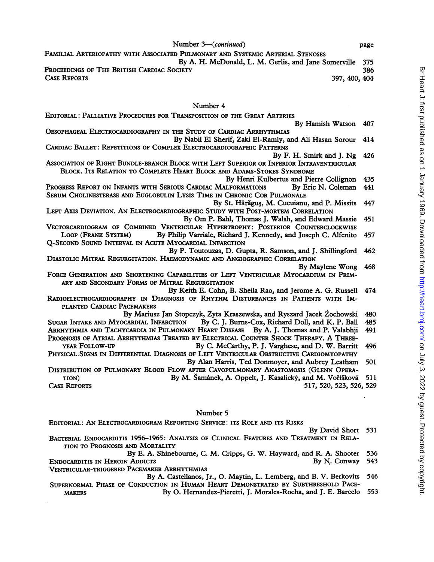FAMILIAL ARTERIOPATHY WITH ASSOCIATED PULMONARY AND SYSTEMIC ARTERIAL STENOSES By A. H. McDonald, L. M. Gerlis, and Jane Somerville 375<br>CIETY 386 PROCEEDINGS OF THE BRITISH CARDIAC SOCIETY CASE REPORTS 397, 400, 404

## Number 4

| EDITORIAL: PALLIATIVE PROCEDURES FOR TRANSPOSITION OF THE GREAT ARTERIES                                                  |     |
|---------------------------------------------------------------------------------------------------------------------------|-----|
| By Hamish Watson                                                                                                          | 407 |
| OESOPHAGEAL ELECTROCARDIOGRAPHY IN THE STUDY OF CARDIAC ARRHYTHMIAS                                                       |     |
| By Nabil El Sherif, Zaki El-Ramly, and Ali Hasan Sorour                                                                   | 414 |
| CARDIAC BALLET: REPETITIONS OF COMPLEX ELECTROCARDIOGRAPHIC PATTERNS                                                      |     |
| By F. H. Smirk and J. Ng                                                                                                  | 426 |
| ASSOCIATION OF RIGHT BUNDLE-BRANCH BLOCK WITH LEFT SUPERIOR OR INFERIOR INTRAVENTRICULAR                                  |     |
| BLOCK. ITS RELATION TO COMPLETE HEART BLOCK AND ADAMS-STOKES SYNDROME                                                     |     |
| By Henri Kulbertus and Pierre Collignon                                                                                   | 435 |
| PROGRESS REPORT ON INFANTS WITH SERIOUS CARDIAC MALFORMATIONS<br>By Eric N. Coleman                                       | 441 |
| SERUM CHOLINESTERASE AND EUGLOBULIN LYSIS TIME IN CHRONIC COR PULMONALE                                                   |     |
| By St. Hărăguș, M. Cucuianu, and P. Missits                                                                               | 447 |
| LEFT AXIS DEVIATION. AN ELECTROCARDIOGRAPHIC STUDY WITH POST-MORTEM CORRELATION                                           |     |
| By Om P. Bahl, Thomas J. Walsh, and Edward Massie                                                                         | 451 |
| VECTORCARDIOGRAM OF COMBINED VENTRICULAR HYPERTROPHY: POSTERIOR COUNTERCLOCKWISE                                          |     |
| LOOP (FRANK SYSTEM)<br>By Philip Varriale, Richard J. Kennedy, and Joseph C. Alfenito                                     | 457 |
| Q-SECOND SOUND INTERVAL IN ACUTE MYOCARDIAL INFARCTION                                                                    |     |
| By P. Toutouzas, D. Gupta, R. Samson, and J. Shillingford                                                                 | 462 |
| DIASTOLIC MITRAL REGURGITATION. HAEMODYNAMIC AND ANGIOGRAPHIC CORRELATION                                                 |     |
| By Maylene Wong                                                                                                           | 468 |
| FORCE GENERATION AND SHORTENING CAPABILITIES OF LEFT VENTRICULAR MYOCARDIUM IN PRIM-                                      |     |
| ARY AND SECONDARY FORMS OF MITRAL REGURGITATION                                                                           |     |
| By Keith E. Cohn, B. Sheila Rao, and Jerome A. G. Russell                                                                 | 474 |
| RADIOELECTROCARDIOGRAPHY IN DIAGNOSIS OF RHYTHM DISTURBANCES IN PATIENTS WITH IM-                                         |     |
| PLANTED CARDIAC PACEMAKERS                                                                                                |     |
| By Mariusz Jan Stopczyk, Zyta Kraszewska, and Ryszard Jacek Żochowski                                                     | 480 |
| By C. J. Burns-Cox, Richard Doll, and K. P. Ball<br>SUGAR INTAKE AND MYOCARDIAL INFARCTION                                | 485 |
| ARRHYTHMIA AND TACHYCARDIA IN PULMONARY HEART DISEASE By A. J. Thomas and P. Valabhji                                     | 491 |
| PROGNOSIS OF ATRIAL ARRHYTHMIAS TREATED BY ELECTRICAL COUNTER SHOCK THERAPY. A THREE-                                     |     |
| YEAR FOLLOW-UP<br>By C. McCarthy, P. J. Varghese, and D. W. Barritt                                                       | 496 |
| PHYSICAL SIGNS IN DIFFERENTIAL DIAGNOSIS OF LEFT VENTRICULAR OBSTRUCTIVE CARDIOMYOPATHY                                   |     |
| By Alan Harris, Ted Donmoyer, and Aubrey Leatham                                                                          | 501 |
| DISTRIBUTION OF PULMONARY BLOOD FLOW AFTER CAVOPULMONARY ANASTOMOSIS (GLENN OPERA-                                        |     |
| By M. Šamánek, A. Oppelt, J. Kasalický, and M. Voříšková<br>TION)                                                         | 511 |
| <b>CASE REPORTS</b><br>517, 520, 523, 526, 529                                                                            |     |
|                                                                                                                           |     |
|                                                                                                                           |     |
| Number 5                                                                                                                  |     |
| EDITORIAL: AN ELECTROCARDIOGRAM REPORTING SERVICE: ITS ROLE AND ITS RISKS                                                 |     |
| By David Short                                                                                                            | 531 |
| BACTERIAL ENDOCARDITIS 1956-1965: ANALYSIS OF CLINICAL FEATURES AND TREATMENT IN RELA-<br>TION TO PROGNOSIS AND MORTALITY |     |
| By E. A. Shinebourne, C. M. Cripps, G. W. Hayward, and R. A. Shooter                                                      | 536 |
|                                                                                                                           |     |

ENDOCARDITIS IN HEROIN ADDICTS By N. Conway 543 VENTRICULAR-TRIGGERED PACEMAKER ARRHYTHMIAS

- By A. Castellanos, Jr., 0. Maytin, L. Lemberg, and B. V. Berkovits 546 SUPERNORMAL PHASE OF CONDUCTION IN HUMAN HEART DEMONSTRATED BY SUBTHRESHOLD PACE-<br>MAKERS By O. Hernandez-Pieretti, J. Morales-Rocha, and J. E. Barcelo
	- By O. Hernandez-Pieretti, J. Morales-Rocha, and J. E. Barcelo 553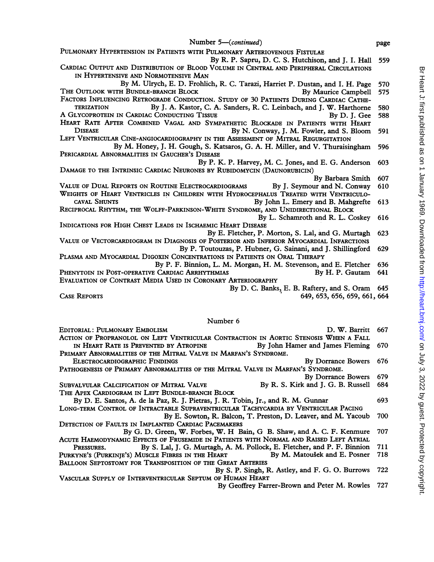- Number 5-(*continued*) page PULMONARY HYPERTENSION IN PATIENTS WITH PULMONARY ARTERIOVENOUS FISTULAE By R. P. Sapru, D. C. S. Hutchison, and J. J. Hall 559 CARDIAC OUTPUT AND DISTRIBUTION OF BLOOD VOLUME IN CENTRAL AND PERIPHERAL CIRCULATIONS IN HYPERTENSIVE AND NORMOTENSIVE MAN By M. Ulrych, E. D. Frohlich, R. C. Tarazi, Harriet P. Dustan, and I. H. Page 570 THE OUTLOOK WITH BUNDLE-BRANCH BLOCK BY Maurice Campbell 575 FACTORS INFLUENCING RETROGRADE CONDUCTION. STUDY OF 30 PATIENTS DURING CARDIAC CATHE-<br>TERIZATION By I. A. Kastor, C. A. Sanders, R. C. Leinbach, and I. W. Harthorne By J. A. Kastor, C. A. Sanders, R. C. Leinbach, and J. W. Harthorne 580<br>CONDUCTING TISSUE By D. J. Gee 588 A GLYCOPROTEIN IN CARDIAC CONDUCTING TISSUE HEART RATE AFTER COMBINED VAGAL AND SYMPATHETIC BLOCKADE IN PATIENTS WITH HEART<br>DISEASE By N Conway, I M Fowler, and S Bloom By N. Conway, J. M. Fowler, and S. Bloom 591 LEFT VENTRICULAR CINE-ANGIOCARDIOGRAPHY IN THE ASSESSMENT OF MITRAL REGURGITATION By M. Honey, J. H. Gough, S. Katsaros, G. A. H. Miller, and V. Thuraisingham 596 PERICARDIAL ABNORMALITIES IN GAUCHER'S DISEASE By P. K. P. Harvey, M. C. Jones, and E. G. Anderson 603 DAMAGE TO THE INTRINSIC CARDIAC NEURONES BY RUBIDOMYCIN (DAUNORUBICIN) By Barbara Smith 607<br>By J. Seymour and N. Conway 610 VALUE OF DUAL REPORTS ON ROUTINE ELECTROCARDIOGRAMS WEIGHTS OF HEART VENTRICLES IN CHILDREN WITH HYDROCEPHALUS TREATED WITH VENTRICULO-<br>CAVAL SHUNTS BY Tohn L. Emery and B. Maherefte By John L. Emery and B. Mahgrefte 613 RECIPROCAL RHYTHM, THE WOLFF-PARKINSON-WHITE SYNDROME, AND UNIDIRECTIONAL BLOCK By L. Schamroth and R. L. Coskey 616 INDICATIONS FOR HIGH CHEST LEADS IN ISCHAEMIC HEART DISEASE By E. Fletcher, P. Morton, S. Lal, and G. Murtagh 623 VALUE OF VECTORCARDIOGRAM IN DIAGNOSIS OF POSTERIOR AND INFERIOR MYOCARDIAL INFARCTIONS By P. Toutouzas, P. Hubner, G. Sainani, and J. Shillingford 629 PLASMA AND MYOCARDIAL DIGOXIN CONCENTRATIONS IN PATIENTS ON ORAL THERAPY By P. F. Binnion, L. M. Morgan, H. M. Stevenson, and E. Fletcher 636<br>CARDIAC ARRHYTHMIAS By H. P. Gautam 641 PHENYTOIN IN POST-OPERATIVE CARDIAC ARRHYTHMIAS EVALUATION OF CONTRAST MEDIA USED IN CORONARY ARTERIOGRAPHY By D. C. Banks, E. B. Raftery, and S. Oram 645 CASE REPORTS 649, 653, 656, 659, 661, 664 Number 6 EDITORIAL: PULMONARY EMBOLISM **D. W. Barritt** 667 ACTION OF PROPRANOLOL ON LEFT VENTRICULAR CONTRACTION IN AORTIC STENOSIS WHEN A FALL<br>IN HEART RATE IS PREVENTED BY ATROPINE BY By John Hamer and James Fleming
- IN HEART RATE IS PREVENTED BY ATROPINE By John Hamer and James Fleming 670 PRIMARY ABNORMALITIES OF THE MITRAL VALVE IN MARFAN'S SYNDROME.

ELECTROCARDIOGRAPHIC FINDINGS SUPERFORMED By Dorrance Bowers 676 PATHOGENESIS OF PRIMARY ABNORMALITIES OF THE MITRAL VALVE IN MARFAN'S SYNDROME.

- 
- By Dorrance Bowers 679<br>By R. S. Kirk and J. G. B. Russell 684 SUBVALVULAR CALCIFICATION OF MITRAL VALVE THE APEX CARDIOGRAM IN LEFT BUNDLE-BRANCH BLOCK
- By D. E. Santos, A. de la Paz, R. J. Pietras, J. R. Tobin, Jr., and R. M. Gunnar 693 LONG-TERM CONTROL OF INTRACTABLE SUPRAVENTRICULAR TACHYCARDIA BY VENTRICULAR PACING By E. Sowton, R. Balcon, T. Preston, D. Leaver, and M. Yacoub 700
- DETECTION OF FAULTS IN IMPLANTED CARDIAC PACEMAKERS By G. D. Green, W. Forbes, W. H Bain, G B. Shaw, and A. C. F. Kenmure <sup>707</sup>
- ACUTE HAEMODYNAMIC EFFECTS OF FRUSEMIDE IN PATIENTS WITH NoRMAL AND RAISED LEFT ATRIAL PRESSURES. By S. Lal, J. G. Murtagh, A. M. Pollock, E. Fletcher, and P. F. Binnion 711<br>KYNE'S (PURKINIE'S) MUSCLE FIBRES IN THE HEART By M. Matoušek and E. Posner 718 PURKYNE'S (PURKINJE'S) MUSCLE FIBRES IN THE HEART BALLOON SEPTOSTOMY FOR TRANSPOSITION OF THE GREAT ARTERIES
- By S. P. Singh, R. Astley, and F. G. 0. Burrows 722 VASCULAR SUPPLY OF INTERVENTRICULAR SEPTUM OF HUMAN HEART
	- By Geoffrey Farrer-Brown and Peter M. Rowles 727